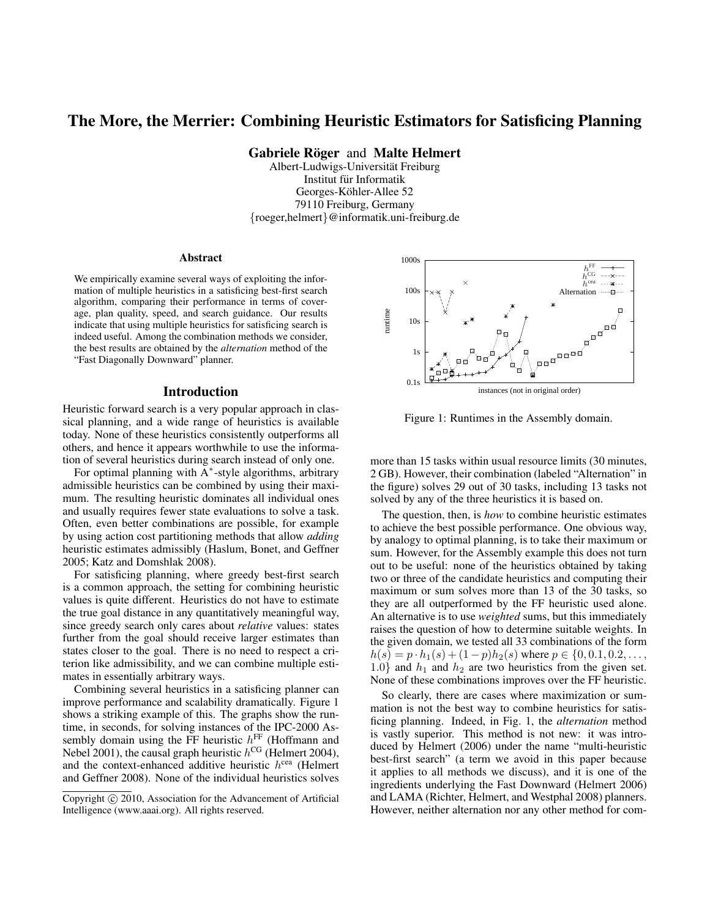# The More, the Merrier: Combining Heuristic Estimators for Satisficing Planning

Gabriele Röger and Malte Helmert

Albert-Ludwigs-Universitat Freiburg ¨ Institut für Informatik Georges-Köhler-Allee 52 79110 Freiburg, Germany {roeger,helmert}@informatik.uni-freiburg.de

#### Abstract

We empirically examine several ways of exploiting the information of multiple heuristics in a satisficing best-first search algorithm, comparing their performance in terms of coverage, plan quality, speed, and search guidance. Our results indicate that using multiple heuristics for satisficing search is indeed useful. Among the combination methods we consider, the best results are obtained by the *alternation* method of the "Fast Diagonally Downward" planner.

#### Introduction

Heuristic forward search is a very popular approach in classical planning, and a wide range of heuristics is available today. None of these heuristics consistently outperforms all others, and hence it appears worthwhile to use the information of several heuristics during search instead of only one.

For optimal planning with  $\overline{A}^*$ -style algorithms, arbitrary admissible heuristics can be combined by using their maximum. The resulting heuristic dominates all individual ones and usually requires fewer state evaluations to solve a task. Often, even better combinations are possible, for example by using action cost partitioning methods that allow *adding* heuristic estimates admissibly (Haslum, Bonet, and Geffner 2005; Katz and Domshlak 2008).

For satisficing planning, where greedy best-first search is a common approach, the setting for combining heuristic values is quite different. Heuristics do not have to estimate the true goal distance in any quantitatively meaningful way, since greedy search only cares about *relative* values: states further from the goal should receive larger estimates than states closer to the goal. There is no need to respect a criterion like admissibility, and we can combine multiple estimates in essentially arbitrary ways.

Combining several heuristics in a satisficing planner can improve performance and scalability dramatically. Figure 1 shows a striking example of this. The graphs show the runtime, in seconds, for solving instances of the IPC-2000 Assembly domain using the FF heuristic  $h^{\text{FF}}$  (Hoffmann and Nebel 2001), the causal graph heuristic  $h^{\text{CG}}$  (Helmert 2004), and the context-enhanced additive heuristic  $h^{\text{cea}}$  (Helmert and Geffner 2008). None of the individual heuristics solves



Figure 1: Runtimes in the Assembly domain.

more than 15 tasks within usual resource limits (30 minutes, 2 GB). However, their combination (labeled "Alternation" in the figure) solves 29 out of 30 tasks, including 13 tasks not solved by any of the three heuristics it is based on.

The question, then, is *how* to combine heuristic estimates to achieve the best possible performance. One obvious way, by analogy to optimal planning, is to take their maximum or sum. However, for the Assembly example this does not turn out to be useful: none of the heuristics obtained by taking two or three of the candidate heuristics and computing their maximum or sum solves more than 13 of the 30 tasks, so they are all outperformed by the FF heuristic used alone. An alternative is to use *weighted* sums, but this immediately raises the question of how to determine suitable weights. In the given domain, we tested all 33 combinations of the form  $h(s) = p \cdot h_1(s) + (1-p)h_2(s)$  where  $p \in \{0, 0.1, 0.2, \dots,$ 1.0} and  $h_1$  and  $h_2$  are two heuristics from the given set. None of these combinations improves over the FF heuristic.

So clearly, there are cases where maximization or summation is not the best way to combine heuristics for satisficing planning. Indeed, in Fig. 1, the *alternation* method is vastly superior. This method is not new: it was introduced by Helmert (2006) under the name "multi-heuristic best-first search" (a term we avoid in this paper because it applies to all methods we discuss), and it is one of the ingredients underlying the Fast Downward (Helmert 2006) and LAMA (Richter, Helmert, and Westphal 2008) planners. However, neither alternation nor any other method for com-

Copyright (c) 2010, Association for the Advancement of Artificial Intelligence (www.aaai.org). All rights reserved.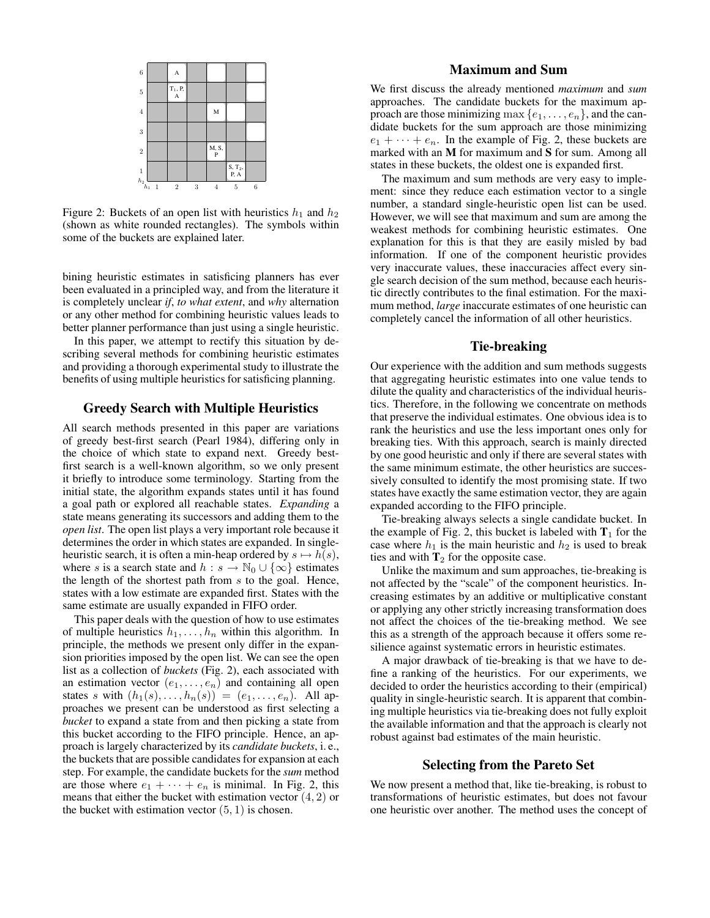

Figure 2: Buckets of an open list with heuristics  $h_1$  and  $h_2$ (shown as white rounded rectangles). The symbols within some of the buckets are explained later.

bining heuristic estimates in satisficing planners has ever been evaluated in a principled way, and from the literature it is completely unclear *if*, *to what extent*, and *why* alternation or any other method for combining heuristic values leads to better planner performance than just using a single heuristic.

In this paper, we attempt to rectify this situation by describing several methods for combining heuristic estimates and providing a thorough experimental study to illustrate the benefits of using multiple heuristics for satisficing planning.

## Greedy Search with Multiple Heuristics

All search methods presented in this paper are variations of greedy best-first search (Pearl 1984), differing only in the choice of which state to expand next. Greedy bestfirst search is a well-known algorithm, so we only present it briefly to introduce some terminology. Starting from the initial state, the algorithm expands states until it has found a goal path or explored all reachable states. *Expanding* a state means generating its successors and adding them to the *open list*. The open list plays a very important role because it determines the order in which states are expanded. In singleheuristic search, it is often a min-heap ordered by  $s \mapsto h(s)$ , where s is a search state and  $h : s \to \mathbb{N}_0 \cup \{\infty\}$  estimates the length of the shortest path from s to the goal. Hence, states with a low estimate are expanded first. States with the same estimate are usually expanded in FIFO order.

This paper deals with the question of how to use estimates of multiple heuristics  $h_1, \ldots, h_n$  within this algorithm. In principle, the methods we present only differ in the expansion priorities imposed by the open list. We can see the open list as a collection of *buckets* (Fig. 2), each associated with an estimation vector  $(e_1, \ldots, e_n)$  and containing all open states s with  $(h_1(s), \ldots, h_n(s)) = (e_1, \ldots, e_n)$ . All approaches we present can be understood as first selecting a *bucket* to expand a state from and then picking a state from this bucket according to the FIFO principle. Hence, an approach is largely characterized by its *candidate buckets*, i. e., the buckets that are possible candidates for expansion at each step. For example, the candidate buckets for the *sum* method are those where  $e_1 + \cdots + e_n$  is minimal. In Fig. 2, this means that either the bucket with estimation vector  $(4, 2)$  or the bucket with estimation vector  $(5, 1)$  is chosen.

## Maximum and Sum

We first discuss the already mentioned *maximum* and *sum* approaches. The candidate buckets for the maximum approach are those minimizing max  $\{e_1, \ldots, e_n\}$ , and the candidate buckets for the sum approach are those minimizing  $e_1 + \cdots + e_n$ . In the example of Fig. 2, these buckets are marked with an M for maximum and S for sum. Among all states in these buckets, the oldest one is expanded first.

The maximum and sum methods are very easy to implement: since they reduce each estimation vector to a single number, a standard single-heuristic open list can be used. However, we will see that maximum and sum are among the weakest methods for combining heuristic estimates. One explanation for this is that they are easily misled by bad information. If one of the component heuristic provides very inaccurate values, these inaccuracies affect every single search decision of the sum method, because each heuristic directly contributes to the final estimation. For the maximum method, *large* inaccurate estimates of one heuristic can completely cancel the information of all other heuristics.

## Tie-breaking

Our experience with the addition and sum methods suggests that aggregating heuristic estimates into one value tends to dilute the quality and characteristics of the individual heuristics. Therefore, in the following we concentrate on methods that preserve the individual estimates. One obvious idea is to rank the heuristics and use the less important ones only for breaking ties. With this approach, search is mainly directed by one good heuristic and only if there are several states with the same minimum estimate, the other heuristics are successively consulted to identify the most promising state. If two states have exactly the same estimation vector, they are again expanded according to the FIFO principle.

Tie-breaking always selects a single candidate bucket. In the example of Fig. 2, this bucket is labeled with  $T_1$  for the case where  $h_1$  is the main heuristic and  $h_2$  is used to break ties and with  $T_2$  for the opposite case.

Unlike the maximum and sum approaches, tie-breaking is not affected by the "scale" of the component heuristics. Increasing estimates by an additive or multiplicative constant or applying any other strictly increasing transformation does not affect the choices of the tie-breaking method. We see this as a strength of the approach because it offers some resilience against systematic errors in heuristic estimates.

A major drawback of tie-breaking is that we have to define a ranking of the heuristics. For our experiments, we decided to order the heuristics according to their (empirical) quality in single-heuristic search. It is apparent that combining multiple heuristics via tie-breaking does not fully exploit the available information and that the approach is clearly not robust against bad estimates of the main heuristic.

### Selecting from the Pareto Set

We now present a method that, like tie-breaking, is robust to transformations of heuristic estimates, but does not favour one heuristic over another. The method uses the concept of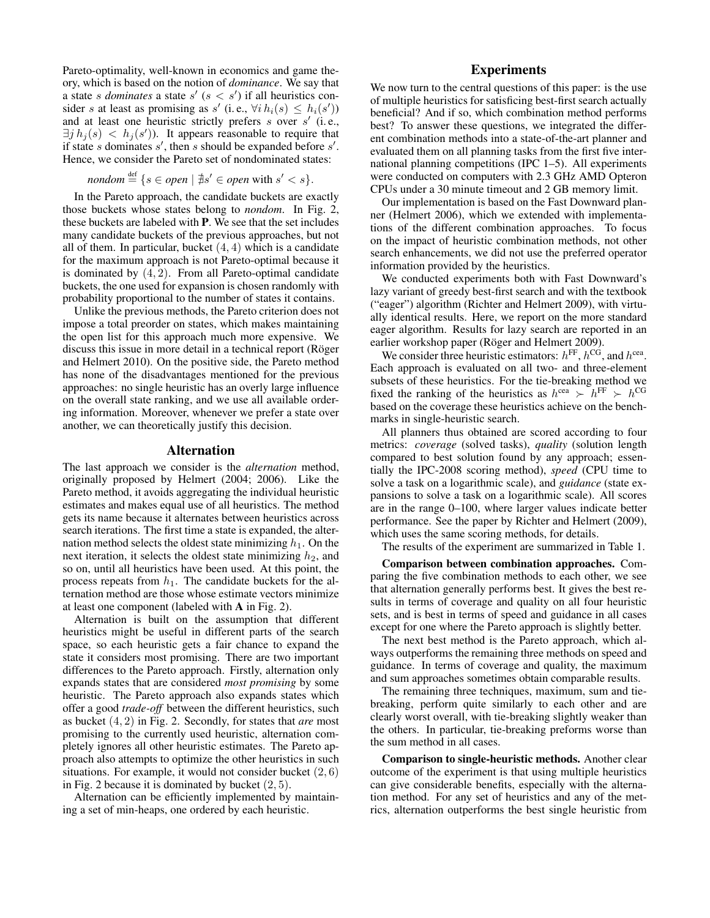Pareto-optimality, well-known in economics and game theory, which is based on the notion of *dominance*. We say that a state *s dominates* a state  $s'$  ( $s < s'$ ) if all heuristics consider s at least as promising as s' (i.e.,  $\forall i h_i(s) \leq h_i(s')$ ) and at least one heuristic strictly prefers  $s$  over  $s'$  (i.e.,  $\exists j h_j(s) < h_j(s')$ ). It appears reasonable to require that if state s dominates  $s'$ , then s should be expanded before  $s'$ . Hence, we consider the Pareto set of nondominated states:

*nondom* 
$$
\stackrel{\text{def}}{=} \{ s \in open \mid \nexists s' \in open \text{ with } s' < s \}.
$$

In the Pareto approach, the candidate buckets are exactly those buckets whose states belong to *nondom*. In Fig. 2, these buckets are labeled with P. We see that the set includes many candidate buckets of the previous approaches, but not all of them. In particular, bucket  $(4, 4)$  which is a candidate for the maximum approach is not Pareto-optimal because it is dominated by  $(4, 2)$ . From all Pareto-optimal candidate buckets, the one used for expansion is chosen randomly with probability proportional to the number of states it contains.

Unlike the previous methods, the Pareto criterion does not impose a total preorder on states, which makes maintaining the open list for this approach much more expensive. We discuss this issue in more detail in a technical report (Röger and Helmert 2010). On the positive side, the Pareto method has none of the disadvantages mentioned for the previous approaches: no single heuristic has an overly large influence on the overall state ranking, and we use all available ordering information. Moreover, whenever we prefer a state over another, we can theoretically justify this decision.

#### Alternation

The last approach we consider is the *alternation* method, originally proposed by Helmert (2004; 2006). Like the Pareto method, it avoids aggregating the individual heuristic estimates and makes equal use of all heuristics. The method gets its name because it alternates between heuristics across search iterations. The first time a state is expanded, the alternation method selects the oldest state minimizing  $h_1$ . On the next iteration, it selects the oldest state minimizing  $h_2$ , and so on, until all heuristics have been used. At this point, the process repeats from  $h_1$ . The candidate buckets for the alternation method are those whose estimate vectors minimize at least one component (labeled with A in Fig. 2).

Alternation is built on the assumption that different heuristics might be useful in different parts of the search space, so each heuristic gets a fair chance to expand the state it considers most promising. There are two important differences to the Pareto approach. Firstly, alternation only expands states that are considered *most promising* by some heuristic. The Pareto approach also expands states which offer a good *trade-off* between the different heuristics, such as bucket (4, 2) in Fig. 2. Secondly, for states that *are* most promising to the currently used heuristic, alternation completely ignores all other heuristic estimates. The Pareto approach also attempts to optimize the other heuristics in such situations. For example, it would not consider bucket  $(2, 6)$ in Fig. 2 because it is dominated by bucket  $(2, 5)$ .

Alternation can be efficiently implemented by maintaining a set of min-heaps, one ordered by each heuristic.

## **Experiments**

We now turn to the central questions of this paper: is the use of multiple heuristics for satisficing best-first search actually beneficial? And if so, which combination method performs best? To answer these questions, we integrated the different combination methods into a state-of-the-art planner and evaluated them on all planning tasks from the first five international planning competitions (IPC 1–5). All experiments were conducted on computers with 2.3 GHz AMD Opteron CPUs under a 30 minute timeout and 2 GB memory limit.

Our implementation is based on the Fast Downward planner (Helmert 2006), which we extended with implementations of the different combination approaches. To focus on the impact of heuristic combination methods, not other search enhancements, we did not use the preferred operator information provided by the heuristics.

We conducted experiments both with Fast Downward's lazy variant of greedy best-first search and with the textbook ("eager") algorithm (Richter and Helmert 2009), with virtually identical results. Here, we report on the more standard eager algorithm. Results for lazy search are reported in an earlier workshop paper (Röger and Helmert 2009).

We consider three heuristic estimators:  $h^{\text{FF}}$ ,  $h^{\text{CG}}$ , and  $h^{\text{cea}}$ . Each approach is evaluated on all two- and three-element subsets of these heuristics. For the tie-breaking method we fixed the ranking of the heuristics as  $h^{\text{cea}} \succ h^{\text{FF}} \succ h^{\text{CG}}$ based on the coverage these heuristics achieve on the benchmarks in single-heuristic search.

All planners thus obtained are scored according to four metrics: *coverage* (solved tasks), *quality* (solution length compared to best solution found by any approach; essentially the IPC-2008 scoring method), *speed* (CPU time to solve a task on a logarithmic scale), and *guidance* (state expansions to solve a task on a logarithmic scale). All scores are in the range 0–100, where larger values indicate better performance. See the paper by Richter and Helmert (2009), which uses the same scoring methods, for details.

The results of the experiment are summarized in Table 1.

Comparison between combination approaches. Comparing the five combination methods to each other, we see that alternation generally performs best. It gives the best results in terms of coverage and quality on all four heuristic sets, and is best in terms of speed and guidance in all cases except for one where the Pareto approach is slightly better.

The next best method is the Pareto approach, which always outperforms the remaining three methods on speed and guidance. In terms of coverage and quality, the maximum and sum approaches sometimes obtain comparable results.

The remaining three techniques, maximum, sum and tiebreaking, perform quite similarly to each other and are clearly worst overall, with tie-breaking slightly weaker than the others. In particular, tie-breaking preforms worse than the sum method in all cases.

Comparison to single-heuristic methods. Another clear outcome of the experiment is that using multiple heuristics can give considerable benefits, especially with the alternation method. For any set of heuristics and any of the metrics, alternation outperforms the best single heuristic from